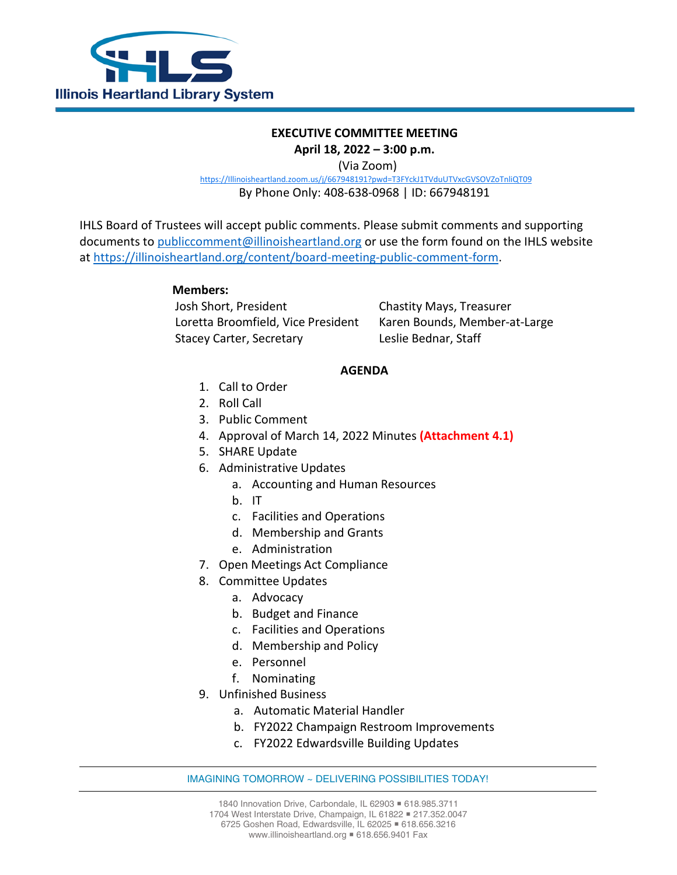

## **EXECUTIVE COMMITTEE MEETING April 18, 2022 – 3:00 p.m.**

(Via Zoom)

[https://Illinoisheartland.zoom.us/j/667948191?pwd=T3FYckJ1TVduUTVxcGVSOVZoTnliQT09](https://illinoisheartland.zoom.us/j/667948191?pwd=T3FYckJ1TVduUTVxcGVSOVZoTnliQT09)

By Phone Only: 408-638-0968 | ID: 667948191

IHLS Board of Trustees will accept public comments. Please submit comments and supporting documents to [publiccomment@illinoisheartland.org](mailto:publiccomment@illinoisheartland.org) or use the form found on the IHLS website at [https://illinoisheartland.org/content/board-meeting-public-comment-form.](https://illinoisheartland.org/content/board-meeting-public-comment-form)

## **Members:**

Josh Short, President Chastity Mays, Treasurer Loretta Broomfield, Vice President Karen Bounds, Member-at-Large Stacey Carter, Secretary **Leslie Bednar, Staff** 

## **AGENDA**

- 1. Call to Order
- 2. Roll Call
- 3. Public Comment
- 4. Approval of March 14, 2022 Minutes **(Attachment 4.1)**
- 5. SHARE Update
- 6. Administrative Updates
	- a. Accounting and Human Resources
	- b. IT
	- c. Facilities and Operations
	- d. Membership and Grants
	- e. Administration
- 7. Open Meetings Act Compliance
- 8. Committee Updates
	- a. Advocacy
	- b. Budget and Finance
	- c. Facilities and Operations
	- d. Membership and Policy
	- e. Personnel
	- f. Nominating
- 9. Unfinished Business
	- a. Automatic Material Handler
	- b. FY2022 Champaign Restroom Improvements
	- c. FY2022 Edwardsville Building Updates

## IMAGINING TOMORROW ~ DELIVERING POSSIBILITIES TODAY!